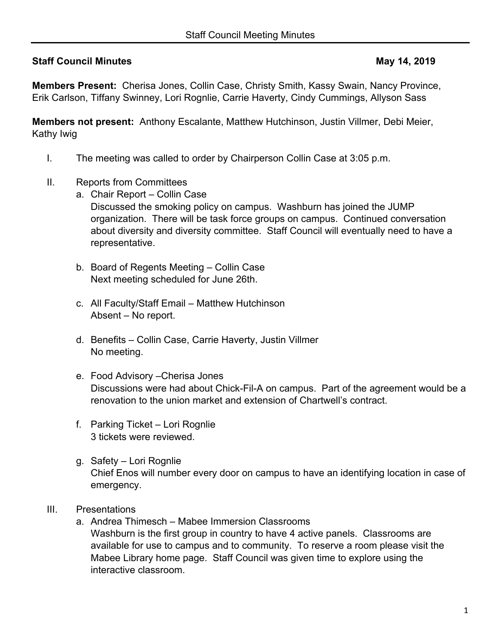# **Staff Council Minutes May 14, 2019**

**Members Present:** Cherisa Jones, Collin Case, Christy Smith, Kassy Swain, Nancy Province, Erik Carlson, Tiffany Swinney, Lori Rognlie, Carrie Haverty, Cindy Cummings, Allyson Sass

**Members not present:** Anthony Escalante, Matthew Hutchinson, Justin Villmer, Debi Meier, Kathy Iwig

- I. The meeting was called to order by Chairperson Collin Case at 3:05 p.m.
- II. Reports from Committees
	- a. Chair Report Collin Case Discussed the smoking policy on campus. Washburn has joined the JUMP organization. There will be task force groups on campus. Continued conversation about diversity and diversity committee. Staff Council will eventually need to have a representative.
	- b. Board of Regents Meeting Collin Case Next meeting scheduled for June 26th.
	- c. All Faculty/Staff Email Matthew Hutchinson Absent – No report.
	- d. Benefits Collin Case, Carrie Haverty, Justin Villmer No meeting.
	- e. Food Advisory –Cherisa Jones Discussions were had about Chick-Fil-A on campus. Part of the agreement would be a renovation to the union market and extension of Chartwell's contract.
	- f. Parking Ticket Lori Rognlie 3 tickets were reviewed.
	- g. Safety Lori Rognlie Chief Enos will number every door on campus to have an identifying location in case of emergency.
- III. Presentations
	- a. Andrea Thimesch Mabee Immersion Classrooms Washburn is the first group in country to have 4 active panels. Classrooms are available for use to campus and to community. To reserve a room please visit the Mabee Library home page. Staff Council was given time to explore using the interactive classroom.